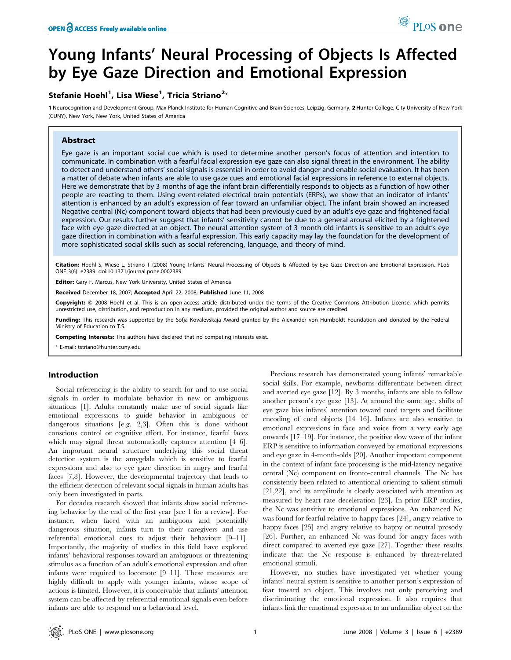# Young Infants' Neural Processing of Objects Is Affected by Eye Gaze Direction and Emotional Expression

# Stefanie Hoehl<sup>1</sup>, Lisa Wiese<sup>1</sup>, Tricia Striano<sup>2</sup>\*

1 Neurocognition and Development Group, Max Planck Institute for Human Cognitive and Brain Sciences, Leipzig, Germany, 2 Hunter College, City University of New York (CUNY), New York, New York, United States of America

# Abstract

Eye gaze is an important social cue which is used to determine another person's focus of attention and intention to communicate. In combination with a fearful facial expression eye gaze can also signal threat in the environment. The ability to detect and understand others' social signals is essential in order to avoid danger and enable social evaluation. It has been a matter of debate when infants are able to use gaze cues and emotional facial expressions in reference to external objects. Here we demonstrate that by 3 months of age the infant brain differentially responds to objects as a function of how other people are reacting to them. Using event-related electrical brain potentials (ERPs), we show that an indicator of infants' attention is enhanced by an adult's expression of fear toward an unfamiliar object. The infant brain showed an increased Negative central (Nc) component toward objects that had been previously cued by an adult's eye gaze and frightened facial expression. Our results further suggest that infants' sensitivity cannot be due to a general arousal elicited by a frightened face with eye gaze directed at an object. The neural attention system of 3 month old infants is sensitive to an adult's eye gaze direction in combination with a fearful expression. This early capacity may lay the foundation for the development of more sophisticated social skills such as social referencing, language, and theory of mind.

Citation: Hoehl S, Wiese L, Striano T (2008) Young Infants' Neural Processing of Objects Is Affected by Eye Gaze Direction and Emotional Expression. PLoS ONE 3(6): e2389. doi:10.1371/journal.pone.0002389

Editor: Gary F. Marcus, New York University, United States of America

Received December 18, 2007; Accepted April 22, 2008; Published June 11, 2008

Copyright: @ 2008 Hoehl et al. This is an open-access article distributed under the terms of the Creative Commons Attribution License, which permits unrestricted use, distribution, and reproduction in any medium, provided the original author and source are credited.

Funding: This research was supported by the Sofja Kovalevskaja Award granted by the Alexander von Humboldt Foundation and donated by the Federal Ministry of Education to T.S.

Competing Interests: The authors have declared that no competing interests exist.

\* E-mail: tstriano@hunter.cuny.edu

#### Introduction

Social referencing is the ability to search for and to use social signals in order to modulate behavior in new or ambiguous situations [1]. Adults constantly make use of social signals like emotional expressions to guide behavior in ambiguous or dangerous situations [e.g. 2,3]. Often this is done without conscious control or cognitive effort. For instance, fearful faces which may signal threat automatically captures attention [4–6]. An important neural structure underlying this social threat detection system is the amygdala which is sensitive to fearful expressions and also to eye gaze direction in angry and fearful faces [7,8]. However, the developmental trajectory that leads to the efficient detection of relevant social signals in human adults has only been investigated in parts.

For decades research showed that infants show social referencing behavior by the end of the first year [see 1 for a review]. For instance, when faced with an ambiguous and potentially dangerous situation, infants turn to their caregivers and use referential emotional cues to adjust their behaviour [9–11]. Importantly, the majority of studies in this field have explored infants' behavioral responses toward an ambiguous or threatening stimulus as a function of an adult's emotional expression and often infants were required to locomote [9–11]. These measures are highly difficult to apply with younger infants, whose scope of actions is limited. However, it is conceivable that infants' attention system can be affected by referential emotional signals even before infants are able to respond on a behavioral level.

Previous research has demonstrated young infants' remarkable social skills. For example, newborns differentiate between direct and averted eye gaze [12]. By 3 months, infants are able to follow another person's eye gaze [13]. At around the same age, shifts of eye gaze bias infants' attention toward cued targets and facilitate encoding of cued objects [14–16]. Infants are also sensitive to emotional expressions in face and voice from a very early age onwards [17–19]. For instance, the positive slow wave of the infant ERP is sensitive to information conveyed by emotional expressions and eye gaze in 4-month-olds [20]. Another important component in the context of infant face processing is the mid-latency negative central (Nc) component on fronto-central channels. The Nc has consistently been related to attentional orienting to salient stimuli [21,22], and its amplitude is closely associated with attention as measured by heart rate deceleration [23]. In prior ERP studies, the Nc was sensitive to emotional expressions. An enhanced Nc was found for fearful relative to happy faces [24], angry relative to happy faces [25] and angry relative to happy or neutral prosody [26]. Further, an enhanced Nc was found for angry faces with direct compared to averted eye gaze [27]. Together these results indicate that the Nc response is enhanced by threat-related emotional stimuli.

However, no studies have investigated yet whether young infants' neural system is sensitive to another person's expression of fear toward an object. This involves not only perceiving and discriminating the emotional expression. It also requires that infants link the emotional expression to an unfamiliar object on the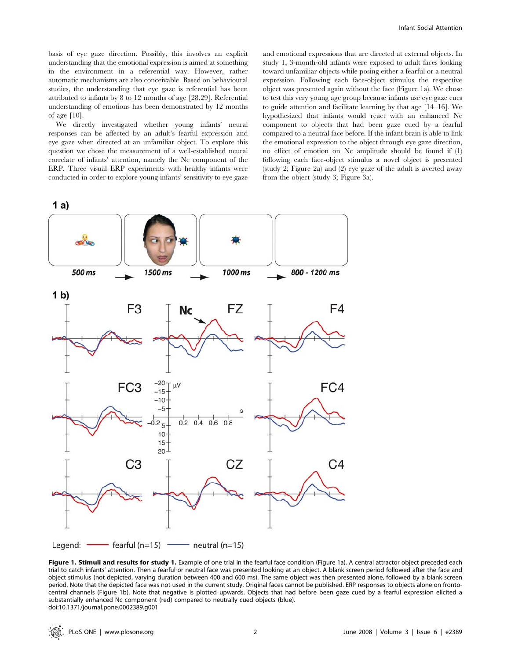basis of eye gaze direction. Possibly, this involves an explicit understanding that the emotional expression is aimed at something in the environment in a referential way. However, rather automatic mechanisms are also conceivable. Based on behavioural studies, the understanding that eye gaze is referential has been attributed to infants by 8 to 12 months of age [28,29]. Referential understanding of emotions has been demonstrated by 12 months of age [10].

We directly investigated whether young infants' neural responses can be affected by an adult's fearful expression and eye gaze when directed at an unfamiliar object. To explore this question we chose the measurement of a well-established neural correlate of infants' attention, namely the Nc component of the ERP. Three visual ERP experiments with healthy infants were conducted in order to explore young infants' sensitivity to eye gaze and emotional expressions that are directed at external objects. In study 1, 3-month-old infants were exposed to adult faces looking toward unfamiliar objects while posing either a fearful or a neutral expression. Following each face-object stimulus the respective object was presented again without the face (Figure 1a). We chose to test this very young age group because infants use eye gaze cues to guide attention and facilitate learning by that age [14–16]. We hypothesized that infants would react with an enhanced Nc component to objects that had been gaze cued by a fearful compared to a neutral face before. If the infant brain is able to link the emotional expression to the object through eye gaze direction, no effect of emotion on Nc amplitude should be found if (1) following each face-object stimulus a novel object is presented (study 2; Figure 2a) and (2) eye gaze of the adult is averted away from the object (study 3; Figure 3a).



Figure 1. Stimuli and results for study 1. Example of one trial in the fearful face condition (Figure 1a). A central attractor object preceded each trial to catch infants' attention. Then a fearful or neutral face was presented looking at an object. A blank screen period followed after the face and object stimulus (not depicted, varying duration between 400 and 600 ms). The same object was then presented alone, followed by a blank screen period. Note that the depicted face was not used in the current study. Original faces cannot be published. ERP responses to objects alone on frontocentral channels (Figure 1b). Note that negative is plotted upwards. Objects that had before been gaze cued by a fearful expression elicited a substantially enhanced Nc component (red) compared to neutrally cued objects (blue). doi:10.1371/journal.pone.0002389.g001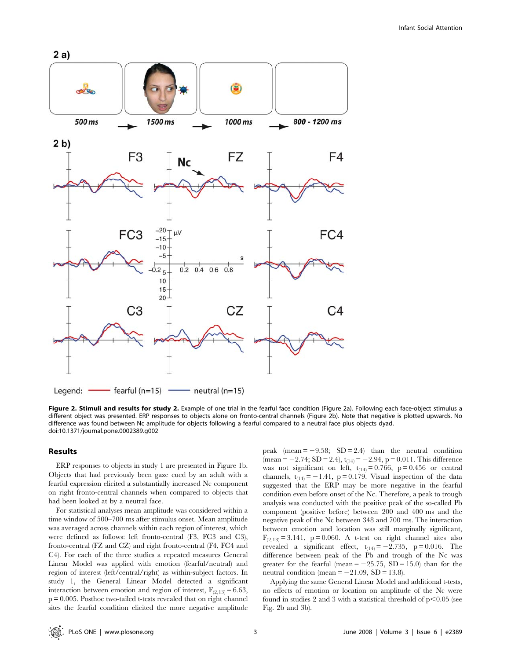

Figure 2. Stimuli and results for study 2. Example of one trial in the fearful face condition (Figure 2a). Following each face-object stimulus a different object was presented. ERP responses to objects alone on fronto-central channels (Figure 2b). Note that negative is plotted upwards. No difference was found between Nc amplitude for objects following a fearful compared to a neutral face plus objects dyad. doi:10.1371/journal.pone.0002389.g002

#### Results

ERP responses to objects in study 1 are presented in Figure 1b. Objects that had previously been gaze cued by an adult with a fearful expression elicited a substantially increased Nc component on right fronto-central channels when compared to objects that had been looked at by a neutral face.

For statistical analyses mean amplitude was considered within a time window of 500–700 ms after stimulus onset. Mean amplitude was averaged across channels within each region of interest, which were defined as follows: left fronto-central (F3, FC3 and C3), fronto-central (FZ and CZ) and right fronto-central (F4, FC4 and C4). For each of the three studies a repeated measures General Linear Model was applied with emotion (fearful/neutral) and region of interest (left/central/right) as within-subject factors. In study 1, the General Linear Model detected a significant interaction between emotion and region of interest,  $F_{(2,13)} = 6.63$ ,  $p = 0.005$ . Posthoc two-tailed t-tests revealed that on right channel sites the fearful condition elicited the more negative amplitude

peak (mean  $= -9.58$ ; SD  $= 2.4$ ) than the neutral condition (mean = -2.74; SD = 2.4),  $t_{(14)} = -2.94$ , p = 0.011. This difference was not significant on left,  $t_{(14)} = 0.766$ , p = 0.456 or central channels,  $t_{(14)} = -1.41$ , p = 0.179. Visual inspection of the data suggested that the ERP may be more negative in the fearful condition even before onset of the Nc. Therefore, a peak to trough analysis was conducted with the positive peak of the so-called Pb component (positive before) between 200 and 400 ms and the negative peak of the Nc between 348 and 700 ms. The interaction between emotion and location was still marginally significant,  $F_{(2,13)} = 3.141$ , p = 0.060. A t-test on right channel sites also revealed a significant effect,  $t_{(14)} = -2.735$ , p = 0.016. The difference between peak of the Pb and trough of the Nc was greater for the fearful (mean  $= -25.75$ , SD = 15.0) than for the neutral condition (mean  $=-21.09$ , SD = 13.8).

Applying the same General Linear Model and additional t-tests, no effects of emotion or location on amplitude of the Nc were found in studies 2 and 3 with a statistical threshold of  $p<0.05$  (see Fig. 2b and 3b).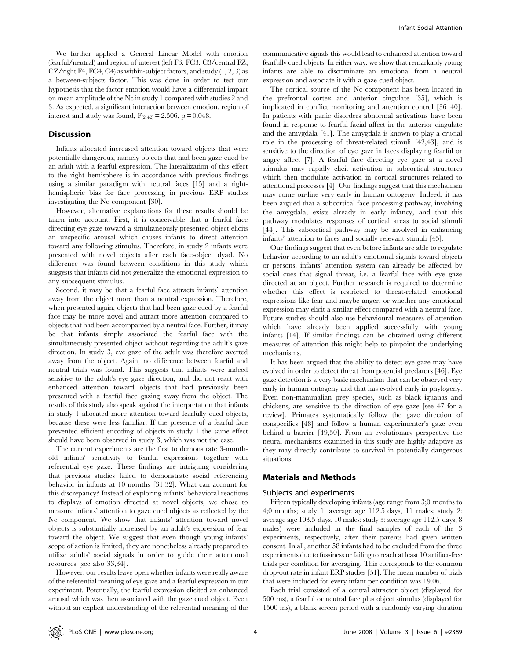We further applied a General Linear Model with emotion (fearful/neutral) and region of interest (left F3, FC3, C3/central FZ, CZ/right F4, FC4, C4) as within-subject factors, and study  $(1, 2, 3)$  as a between-subjects factor. This was done in order to test our hypothesis that the factor emotion would have a differential impact on mean amplitude of the Nc in study 1 compared with studies 2 and 3. As expected, a significant interaction between emotion, region of interest and study was found,  $F_{(2,42)} = 2.506$ , p = 0.048.

#### **Discussion**

Infants allocated increased attention toward objects that were potentially dangerous, namely objects that had been gaze cued by an adult with a fearful expression. The lateralization of this effect to the right hemisphere is in accordance with previous findings using a similar paradigm with neutral faces [15] and a righthemispheric bias for face processing in previous ERP studies investigating the Nc component [30].

However, alternative explanations for these results should be taken into account. First, it is conceivable that a fearful face directing eye gaze toward a simultaneously presented object elicits an unspecific arousal which causes infants to direct attention toward any following stimulus. Therefore, in study 2 infants were presented with novel objects after each face-object dyad. No difference was found between conditions in this study which suggests that infants did not generalize the emotional expression to any subsequent stimulus.

Second, it may be that a fearful face attracts infants' attention away from the object more than a neutral expression. Therefore, when presented again, objects that had been gaze cued by a fearful face may be more novel and attract more attention compared to objects that had been accompanied by a neutral face. Further, it may be that infants simply associated the fearful face with the simultaneously presented object without regarding the adult's gaze direction. In study 3, eye gaze of the adult was therefore averted away from the object. Again, no difference between fearful and neutral trials was found. This suggests that infants were indeed sensitive to the adult's eye gaze direction, and did not react with enhanced attention toward objects that had previously been presented with a fearful face gazing away from the object. The results of this study also speak against the interpretation that infants in study 1 allocated more attention toward fearfully cued objects, because these were less familiar. If the presence of a fearful face prevented efficient encoding of objects in study 1 the same effect should have been observed in study 3, which was not the case.

The current experiments are the first to demonstrate 3-monthold infants' sensitivity to fearful expressions together with referential eye gaze. These findings are intriguing considering that previous studies failed to demonstrate social referencing behavior in infants at 10 months [31,32]. What can account for this discrepancy? Instead of exploring infants' behavioral reactions to displays of emotion directed at novel objects, we chose to measure infants' attention to gaze cued objects as reflected by the Nc component. We show that infants' attention toward novel objects is substantially increased by an adult's expression of fear toward the object. We suggest that even though young infants' scope of action is limited, they are nonetheless already prepared to utilize adults' social signals in order to guide their attentional resources [see also 33,34].

However, our results leave open whether infants were really aware of the referential meaning of eye gaze and a fearful expression in our experiment. Potentially, the fearful expression elicited an enhanced arousal which was then associated with the gaze cued object. Even without an explicit understanding of the referential meaning of the

communicative signals this would lead to enhanced attention toward fearfully cued objects. In either way, we show that remarkably young infants are able to discriminate an emotional from a neutral expression and associate it with a gaze cued object.

The cortical source of the Nc component has been located in the prefrontal cortex and anterior cingulate [35], which is implicated in conflict monitoring and attention control [36–40]. In patients with panic disorders abnormal activations have been found in response to fearful facial affect in the anterior cingulate and the amygdala [41]. The amygdala is known to play a crucial role in the processing of threat-related stimuli [42,43], and is sensitive to the direction of eye gaze in faces displaying fearful or angry affect [7]. A fearful face directing eye gaze at a novel stimulus may rapidly elicit activation in subcortical structures which then modulate activation in cortical structures related to attentional processes [4]. Our findings suggest that this mechanism may come on-line very early in human ontogeny. Indeed, it has been argued that a subcortical face processing pathway, involving the amygdala, exists already in early infancy, and that this pathway modulates responses of cortical areas to social stimuli [44]. This subcortical pathway may be involved in enhancing infants' attention to faces and socially relevant stimuli [45].

Our findings suggest that even before infants are able to regulate behavior according to an adult's emotional signals toward objects or persons, infants' attention system can already be affected by social cues that signal threat, i.e. a fearful face with eye gaze directed at an object. Further research is required to determine whether this effect is restricted to threat-related emotional expressions like fear and maybe anger, or whether any emotional expression may elicit a similar effect compared with a neutral face. Future studies should also use behavioural measures of attention which have already been applied successfully with young infants [14]. If similar findings can be obtained using different measures of attention this might help to pinpoint the underlying mechanisms.

It has been argued that the ability to detect eye gaze may have evolved in order to detect threat from potential predators [46]. Eye gaze detection is a very basic mechanism that can be observed very early in human ontogeny and that has evolved early in phylogeny. Even non-mammalian prey species, such as black iguanas and chickens, are sensitive to the direction of eye gaze [see 47 for a review]. Primates systematically follow the gaze direction of conspecifics [48] and follow a human experimenter's gaze even behind a barrier [49,50]. From an evolutionary perspective the neural mechanisms examined in this study are highly adaptive as they may directly contribute to survival in potentially dangerous situations.

## Materials and Methods

#### Subjects and experiments

Fifteen typically developing infants (age range from 3;0 months to 4;0 months; study 1: average age 112.5 days, 11 males; study 2: average age 103.5 days, 10 males; study 3: average age 112.5 days, 8 males) were included in the final samples of each of the 3 experiments, respectively, after their parents had given written consent. In all, another 58 infants had to be excluded from the three experiments due to fussiness or failing to reach at least 10 artifact-free trials per condition for averaging. This corresponds to the common drop-out rate in infant ERP studies [51]. The mean number of trials that were included for every infant per condition was 19.06.

Each trial consisted of a central attractor object (displayed for 500 ms), a fearful or neutral face plus object stimulus (displayed for 1500 ms), a blank screen period with a randomly varying duration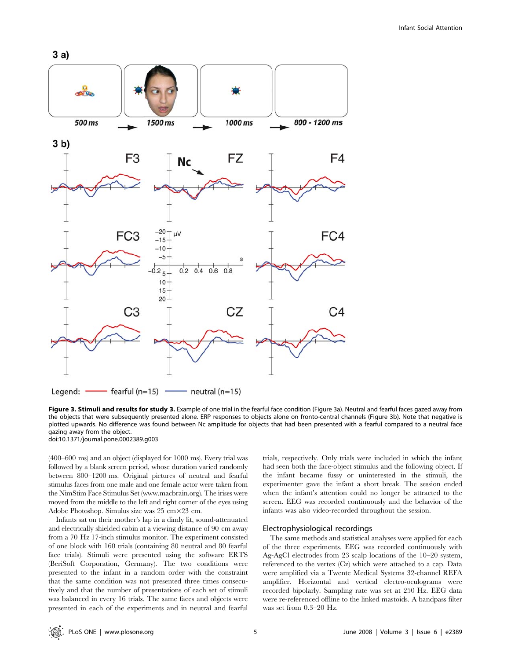

Figure 3. Stimuli and results for study 3. Example of one trial in the fearful face condition (Figure 3a). Neutral and fearful faces gazed away from the objects that were subsequently presented alone. ERP responses to objects alone on fronto-central channels (Figure 3b). Note that negative is plotted upwards. No difference was found between Nc amplitude for objects that had been presented with a fearful compared to a neutral face gazing away from the object.

doi:10.1371/journal.pone.0002389.g003

(400–600 ms) and an object (displayed for 1000 ms). Every trial was followed by a blank screen period, whose duration varied randomly between 800–1200 ms. Original pictures of neutral and fearful stimulus faces from one male and one female actor were taken from the NimStim Face Stimulus Set (www.macbrain.org). The irises were moved from the middle to the left and right corner of the eyes using Adobe Photoshop. Simulus size was 25 cm×23 cm.

Infants sat on their mother's lap in a dimly lit, sound-attenuated and electrically shielded cabin at a viewing distance of 90 cm away from a 70 Hz 17-inch stimulus monitor. The experiment consisted of one block with 160 trials (containing 80 neutral and 80 fearful face trials). Stimuli were presented using the software ERTS (BeriSoft Corporation, Germany). The two conditions were presented to the infant in a random order with the constraint that the same condition was not presented three times consecutively and that the number of presentations of each set of stimuli was balanced in every 16 trials. The same faces and objects were presented in each of the experiments and in neutral and fearful trials, respectively. Only trials were included in which the infant had seen both the face-object stimulus and the following object. If the infant became fussy or uninterested in the stimuli, the experimenter gave the infant a short break. The session ended when the infant's attention could no longer be attracted to the screen. EEG was recorded continuously and the behavior of the infants was also video-recorded throughout the session.

## Electrophysiological recordings

The same methods and statistical analyses were applied for each of the three experiments. EEG was recorded continuously with Ag-AgCl electrodes from 23 scalp locations of the 10–20 system, referenced to the vertex (Cz) which were attached to a cap. Data were amplified via a Twente Medical Systems 32-channel REFA amplifier. Horizontal and vertical electro-oculograms were recorded bipolarly. Sampling rate was set at 250 Hz. EEG data were re-referenced offline to the linked mastoids. A bandpass filter was set from 0.3–20 Hz.